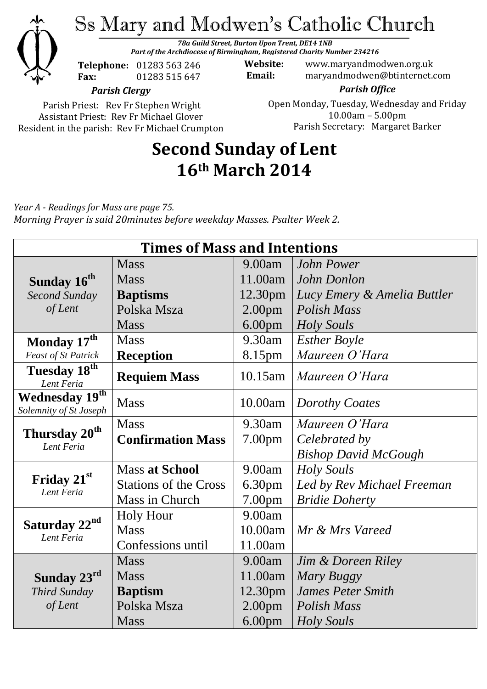

Ss Mary and Modwen's Catholic Church

*78a Guild Street, Burton Upon Trent, DE14 1NB Part of the Archdiocese of Birmingham, Registered Charity Number 234216*

**Telephone:** 01283 563 246 **Fax:** 01283 515 647

**Website:** www.maryandmodwen.org.uk **Email:** maryandmodwen@btinternet.com

*Parish Clergy*

Parish Priest: Rev Fr Stephen Wright Assistant Priest: Rev Fr Michael Glover Resident in the parish: Rev Fr Michael Crumpton

*Parish Office* Open Monday, Tuesday, Wednesday and Friday 10.00am – 5.00pm Parish Secretary:Margaret Barker

## **Second Sunday of Lent 16th March 2014**

*Year A - Readings for Mass are page 75. Morning Prayer is said 20minutes before weekday Masses. Psalter Week 2.*

| <b>Times of Mass and Intentions</b>      |                              |                    |                             |
|------------------------------------------|------------------------------|--------------------|-----------------------------|
|                                          | <b>Mass</b>                  | 9.00am             | <b>John Power</b>           |
| Sunday 16 <sup>th</sup>                  | <b>Mass</b>                  | 11.00am            | John Donlon                 |
| <b>Second Sunday</b>                     | <b>Baptisms</b>              | 12.30pm            | Lucy Emery & Amelia Buttler |
| of Lent                                  | Polska Msza                  | 2.00 <sub>pm</sub> | Polish Mass                 |
|                                          | <b>Mass</b>                  | 6.00 <sub>pm</sub> | <b>Holy Souls</b>           |
| Monday 17th                              | <b>Mass</b>                  | 9.30am             | <b>Esther Boyle</b>         |
| <b>Feast of St Patrick</b>               | <b>Reception</b>             | 8.15pm             | Maureen O'Hara              |
| Tuesday 18th<br>Lent Feria               | <b>Requiem Mass</b>          | $10.15$ am         | Maureen O'Hara              |
| Wednesday 19th<br>Solemnity of St Joseph | <b>Mass</b>                  | 10.00am            | Dorothy Coates              |
| Thursday 20 <sup>th</sup><br>Lent Feria  | <b>Mass</b>                  | 9.30am             | Maureen O'Hara              |
|                                          | <b>Confirmation Mass</b>     | 7.00 <sub>pm</sub> | Celebrated by               |
|                                          |                              |                    | <b>Bishop David McGough</b> |
| Friday 21st<br>Lent Feria                | <b>Mass at School</b>        | 9.00am             | Holy Souls                  |
|                                          | <b>Stations of the Cross</b> | 6.30pm             | Led by Rev Michael Freeman  |
|                                          | Mass in Church               | 7.00pm             | <b>Bridie Doherty</b>       |
| Saturday 22 <sup>nd</sup><br>Lent Feria  | <b>Holy Hour</b>             | 9.00am             |                             |
|                                          | <b>Mass</b>                  | 10.00am            | Mr & Mrs Vareed             |
|                                          | Confessions until            | 11.00am            |                             |
|                                          | <b>Mass</b>                  | 9.00am             | Jim & Doreen Riley          |
| Sunday 23rd                              | <b>Mass</b>                  | 11.00am            | Mary Buggy                  |
| Third Sunday                             | <b>Baptism</b>               | 12.30pm            | <b>James Peter Smith</b>    |
| of Lent                                  | Polska Msza                  | 2.00 <sub>pm</sub> | <b>Polish Mass</b>          |
|                                          | <b>Mass</b>                  | 6.00 <sub>pm</sub> | Holy Souls                  |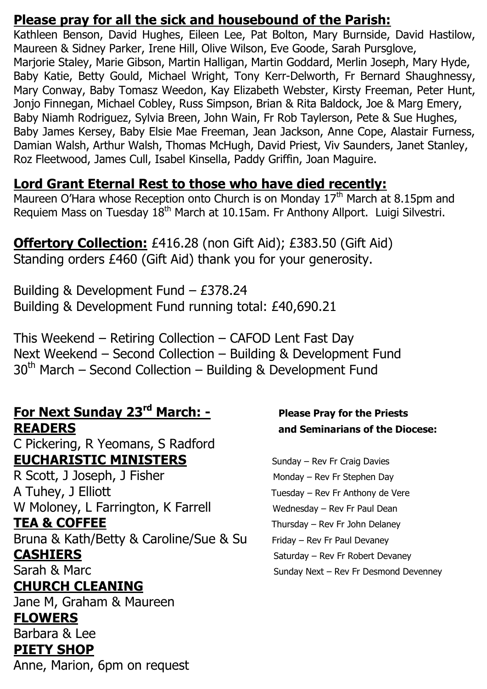## **Please pray for all the sick and housebound of the Parish:**

Kathleen Benson, David Hughes, Eileen Lee, Pat Bolton, Mary Burnside, David Hastilow, Maureen & Sidney Parker, Irene Hill, Olive Wilson, Eve Goode, Sarah Pursglove, Marjorie Staley, Marie Gibson, Martin Halligan, Martin Goddard, Merlin Joseph, Mary Hyde, Baby Katie, Betty Gould, Michael Wright, Tony Kerr-Delworth, Fr Bernard Shaughnessy, Mary Conway, Baby Tomasz Weedon, Kay Elizabeth Webster, Kirsty Freeman, Peter Hunt, Jonjo Finnegan, Michael Cobley, Russ Simpson, Brian & Rita Baldock, Joe & Marg Emery, Baby Niamh Rodriguez, Sylvia Breen, John Wain, Fr Rob Taylerson, Pete & Sue Hughes, Baby James Kersey, Baby Elsie Mae Freeman, Jean Jackson, Anne Cope, Alastair Furness, Damian Walsh, Arthur Walsh, Thomas McHugh, David Priest, Viv Saunders, Janet Stanley, Roz Fleetwood, James Cull, Isabel Kinsella, Paddy Griffin, Joan Maguire.

## **Lord Grant Eternal Rest to those who have died recently:**

Maureen O'Hara whose Reception onto Church is on Monday 17<sup>th</sup> March at 8.15pm and Requiem Mass on Tuesday 18<sup>th</sup> March at 10.15am. Fr Anthony Allport. Luigi Silvestri.

## **Offertory Collection:** £416.28 (non Gift Aid); £383.50 (Gift Aid) Standing orders £460 (Gift Aid) thank you for your generosity.

Building & Development Fund – £378.24 Building & Development Fund running total: £40,690.21

This Weekend – Retiring Collection – CAFOD Lent Fast Day Next Weekend – Second Collection – Building & Development Fund  $30<sup>th</sup>$  March – Second Collection – Building & Development Fund

### **For Next Sunday 23rd March: - Please Pray for the Priests READERS and Seminarians of the Diocese:**

C Pickering, R Yeomans, S Radford **EUCHARISTIC MINISTERS** Sunday – Rev Fr Craig Davies

R Scott, J Joseph, J Fisher Monday – Rev Fr Stephen Day A Tuhey, J Elliott **Tuesday – Rev Fr Anthony de Vere** W Moloney, L Farrington, K Farrell Wednesday – Rev Fr Paul Dean **TEA & COFFEE** Thursday – Rev Fr John Delaney Bruna & Kath/Betty & Caroline/Sue & Su Friday – Rev Fr Paul Devaney

# **CHURCH CLEANING**

Jane M, Graham & Maureen

## **FLOWERS**

Barbara & Lee

## **PIETY SHOP**

Anne, Marion, 6pm on request

**CASHIERS** Saturday – Rev Fr Robert Devaney Sarah & Marc Sunday Next – Rev Fr Desmond Devenney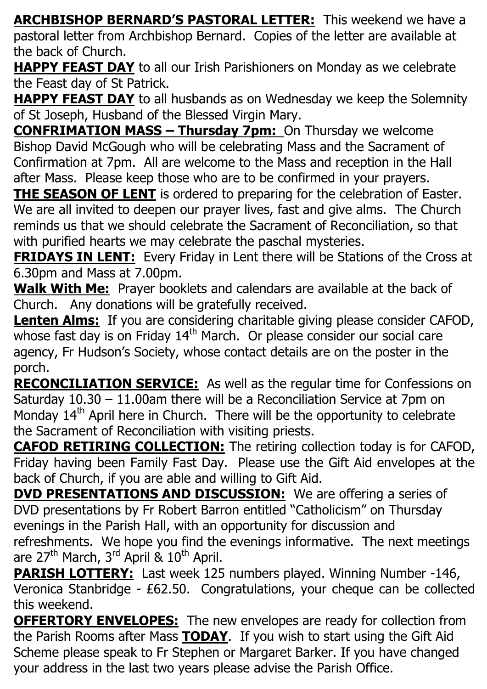**ARCHBISHOP BERNARD'S PASTORAL LETTER:** This weekend we have a pastoral letter from Archbishop Bernard. Copies of the letter are available at the back of Church.

**HAPPY FEAST DAY** to all our Irish Parishioners on Monday as we celebrate the Feast day of St Patrick.

**HAPPY FEAST DAY** to all husbands as on Wednesday we keep the Solemnity of St Joseph, Husband of the Blessed Virgin Mary.

**CONFRIMATION MASS – Thursday 7pm:** On Thursday we welcome Bishop David McGough who will be celebrating Mass and the Sacrament of Confirmation at 7pm. All are welcome to the Mass and reception in the Hall after Mass. Please keep those who are to be confirmed in your prayers.

**THE SEASON OF LENT** is ordered to preparing for the celebration of Easter. We are all invited to deepen our prayer lives, fast and give alms. The Church reminds us that we should celebrate the Sacrament of Reconciliation, so that with purified hearts we may celebrate the paschal mysteries.

**FRIDAYS IN LENT:** Every Friday in Lent there will be Stations of the Cross at 6.30pm and Mass at 7.00pm.

**Walk With Me:** Prayer booklets and calendars are available at the back of Church. Any donations will be gratefully received.

**Lenten Alms:** If you are considering charitable giving please consider CAFOD, whose fast day is on Friday  $14<sup>th</sup>$  March. Or please consider our social care agency, Fr Hudson's Society, whose contact details are on the poster in the porch.

**RECONCILIATION SERVICE:** As well as the regular time for Confessions on Saturday 10.30 – 11.00am there will be a Reconciliation Service at 7pm on Monday  $14<sup>th</sup>$  April here in Church. There will be the opportunity to celebrate the Sacrament of Reconciliation with visiting priests.

**CAFOD RETIRING COLLECTION:** The retiring collection today is for CAFOD, Friday having been Family Fast Day. Please use the Gift Aid envelopes at the back of Church, if you are able and willing to Gift Aid.

**DVD PRESENTATIONS AND DISCUSSION:** We are offering a series of DVD presentations by Fr Robert Barron entitled "Catholicism" on Thursday evenings in the Parish Hall, with an opportunity for discussion and refreshments. We hope you find the evenings informative. The next meetings are  $27<sup>th</sup>$  March,  $3<sup>rd</sup>$  April &  $10<sup>th</sup>$  April.

**PARISH LOTTERY:** Last week 125 numbers played. Winning Number -146, Veronica Stanbridge - £62.50. Congratulations, your cheque can be collected this weekend.

**OFFERTORY ENVELOPES:** The new envelopes are ready for collection from the Parish Rooms after Mass **TODAY**. If you wish to start using the Gift Aid Scheme please speak to Fr Stephen or Margaret Barker. If you have changed your address in the last two years please advise the Parish Office.